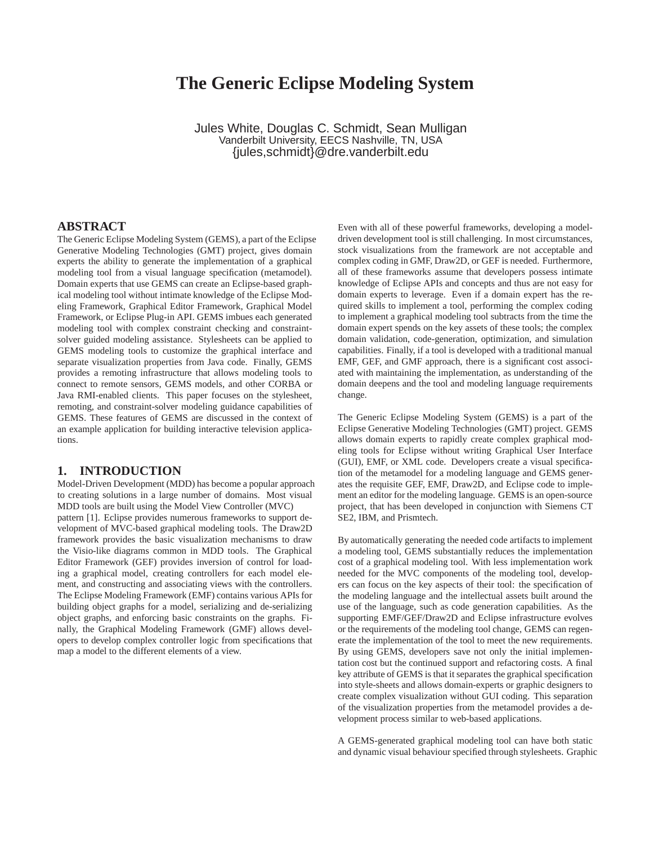# **The Generic Eclipse Modeling System**

Jules White, Douglas C. Schmidt, Sean Mulligan Vanderbilt University, EECS Nashville, TN, USA {jules,schmidt}@dre.vanderbilt.edu

#### **ABSTRACT**

The Generic Eclipse Modeling System (GEMS), a part of the Eclipse Generative Modeling Technologies (GMT) project, gives domain experts the ability to generate the implementation of a graphical modeling tool from a visual language specification (metamodel). Domain experts that use GEMS can create an Eclipse-based graphical modeling tool without intimate knowledge of the Eclipse Modeling Framework, Graphical Editor Framework, Graphical Model Framework, or Eclipse Plug-in API. GEMS imbues each generated modeling tool with complex constraint checking and constraintsolver guided modeling assistance. Stylesheets can be applied to GEMS modeling tools to customize the graphical interface and separate visualization properties from Java code. Finally, GEMS provides a remoting infrastructure that allows modeling tools to connect to remote sensors, GEMS models, and other CORBA or Java RMI-enabled clients. This paper focuses on the stylesheet, remoting, and constraint-solver modeling guidance capabilities of GEMS. These features of GEMS are discussed in the context of an example application for building interactive television applications.

#### **1. INTRODUCTION**

Model-Driven Development (MDD) has become a popular approach to creating solutions in a large number of domains. Most visual MDD tools are built using the Model View Controller (MVC) pattern [1]. Eclipse provides numerous frameworks to support development of MVC-based graphical modeling tools. The Draw2D framework provides the basic visualization mechanisms to draw the Visio-like diagrams common in MDD tools. The Graphical Editor Framework (GEF) provides inversion of control for loading a graphical model, creating controllers for each model element, and constructing and associating views with the controllers. The Eclipse Modeling Framework (EMF) contains various APIsfor building object graphs for a model, serializing and de-serializing object graphs, and enforcing basic constraints on the graphs. Finally, the Graphical Modeling Framework (GMF) allows developers to develop complex controller logic from specifications that map a model to the different elements of a view.

Even with all of these powerful frameworks, developing a modeldriven development tool is still challenging. In most circumstances, stock visualizations from the framework are not acceptable and complex coding in GMF, Draw2D, or GEF is needed. Furthermore, all of these frameworks assume that developers possess intimate knowledge of Eclipse APIs and concepts and thus are not easy for domain experts to leverage. Even if a domain expert has the required skills to implement a tool, performing the complex coding to implement a graphical modeling tool subtracts from the time the domain expert spends on the key assets of these tools; the complex domain validation, code-generation, optimization, and simulation capabilities. Finally, if a tool is developed with a traditional manual EMF, GEF, and GMF approach, there is a significant cost associated with maintaining the implementation, as understanding of the domain deepens and the tool and modeling language requirements change.

The Generic Eclipse Modeling System (GEMS) is a part of the Eclipse Generative Modeling Technologies (GMT) project. GEMS allows domain experts to rapidly create complex graphical modeling tools for Eclipse without writing Graphical User Interface (GUI), EMF, or XML code. Developers create a visual specification of the metamodel for a modeling language and GEMS generates the requisite GEF, EMF, Draw2D, and Eclipse code to implement an editor for the modeling language. GEMS is an open-source project, that has been developed in conjunction with Siemens CT SE2, IBM, and Prismtech.

By automatically generating the needed code artifacts to implement a modeling tool, GEMS substantially reduces the implementation cost of a graphical modeling tool. With less implementation work needed for the MVC components of the modeling tool, developers can focus on the key aspects of their tool: the specification of the modeling language and the intellectual assets built around the use of the language, such as code generation capabilities. As the supporting EMF/GEF/Draw2D and Eclipse infrastructure evolves or the requirements of the modeling tool change, GEMS can regenerate the implementation of the tool to meet the new requirements. By using GEMS, developers save not only the initial implementation cost but the continued support and refactoring costs. A final key attribute of GEMS is that it separates the graphical specification into style-sheets and allows domain-experts or graphic designers to create complex visualization without GUI coding. This separation of the visualization properties from the metamodel provides a development process similar to web-based applications.

A GEMS-generated graphical modeling tool can have both static and dynamic visual behaviour specified through stylesheets. Graphic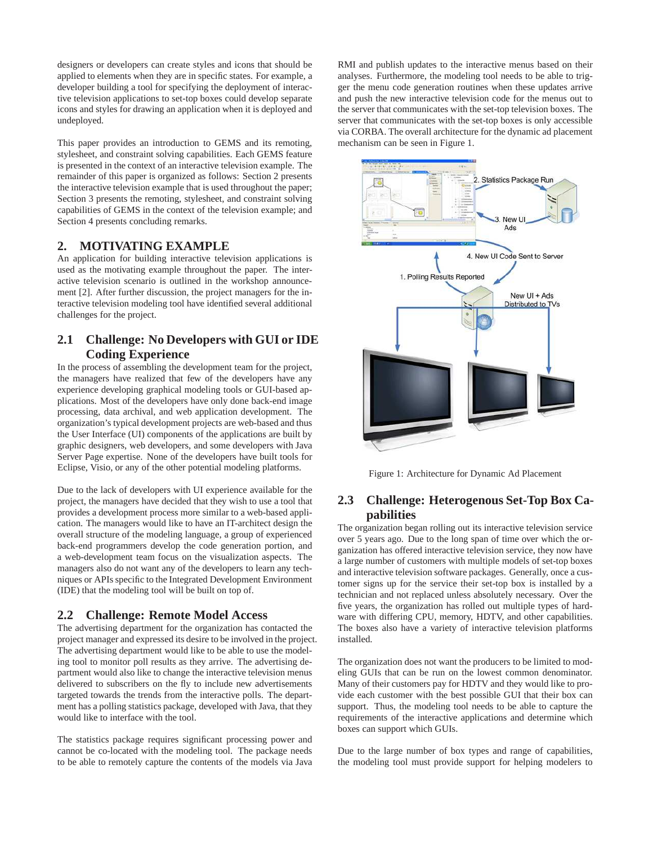designers or developers can create styles and icons that should be applied to elements when they are in specific states. For example, a developer building a tool for specifying the deployment of interactive television applications to set-top boxes could develop separate icons and styles for drawing an application when it is deployed and undeployed.

This paper provides an introduction to GEMS and its remoting, stylesheet, and constraint solving capabilities. Each GEMS feature is presented in the context of an interactive television example. The remainder of this paper is organized as follows: Section 2 presents the interactive television example that is used throughout the paper; Section 3 presents the remoting, stylesheet, and constraint solving capabilities of GEMS in the context of the television example; and Section 4 presents concluding remarks.

#### **2. MOTIVATING EXAMPLE**

An application for building interactive television applications is used as the motivating example throughout the paper. The interactive television scenario is outlined in the workshop announcement [2]. After further discussion, the project managers for the interactive television modeling tool have identified several additional challenges for the project.

### **2.1 Challenge: No Developers with GUI or IDE Coding Experience**

In the process of assembling the development team for the project, the managers have realized that few of the developers have any experience developing graphical modeling tools or GUI-based applications. Most of the developers have only done back-end image processing, data archival, and web application development. The organization's typical development projects are web-based and thus the User Interface (UI) components of the applications are built by graphic designers, web developers, and some developers with Java Server Page expertise. None of the developers have built tools for Eclipse, Visio, or any of the other potential modeling platforms.

Due to the lack of developers with UI experience available for the project, the managers have decided that they wish to use a tool that provides a development process more similar to a web-based application. The managers would like to have an IT-architect design the overall structure of the modeling language, a group of experienced back-end programmers develop the code generation portion, and a web-development team focus on the visualization aspects. The managers also do not want any of the developers to learn any techniques or APIs specific to the Integrated Development Environment (IDE) that the modeling tool will be built on top of.

#### **2.2 Challenge: Remote Model Access**

The advertising department for the organization has contacted the project manager and expressed its desire to be involved in the project. The advertising department would like to be able to use the modeling tool to monitor poll results as they arrive. The advertising department would also like to change the interactive television menus delivered to subscribers on the fly to include new advertisements targeted towards the trends from the interactive polls. The department has a polling statistics package, developed with Java, that they would like to interface with the tool.

The statistics package requires significant processing power and cannot be co-located with the modeling tool. The package needs to be able to remotely capture the contents of the models via Java RMI and publish updates to the interactive menus based on their analyses. Furthermore, the modeling tool needs to be able to trigger the menu code generation routines when these updates arrive and push the new interactive television code for the menus out to the server that communicates with the set-top television boxes. The server that communicates with the set-top boxes is only accessible via CORBA. The overall architecture for the dynamic ad placement mechanism can be seen in Figure 1.



Figure 1: Architecture for Dynamic Ad Placement

### **2.3 Challenge: Heterogenous Set-Top Box Capabilities**

The organization began rolling out its interactive television service over 5 years ago. Due to the long span of time over which the organization has offered interactive television service, they now have a large number of customers with multiple models of set-top boxes and interactive television software packages. Generally, once a customer signs up for the service their set-top box is installed by a technician and not replaced unless absolutely necessary. Over the five years, the organization has rolled out multiple types of hardware with differing CPU, memory, HDTV, and other capabilities. The boxes also have a variety of interactive television platforms installed.

The organization does not want the producers to be limited to modeling GUIs that can be run on the lowest common denominator. Many of their customers pay for HDTV and they would like to provide each customer with the best possible GUI that their box can support. Thus, the modeling tool needs to be able to capture the requirements of the interactive applications and determine which boxes can support which GUIs.

Due to the large number of box types and range of capabilities, the modeling tool must provide support for helping modelers to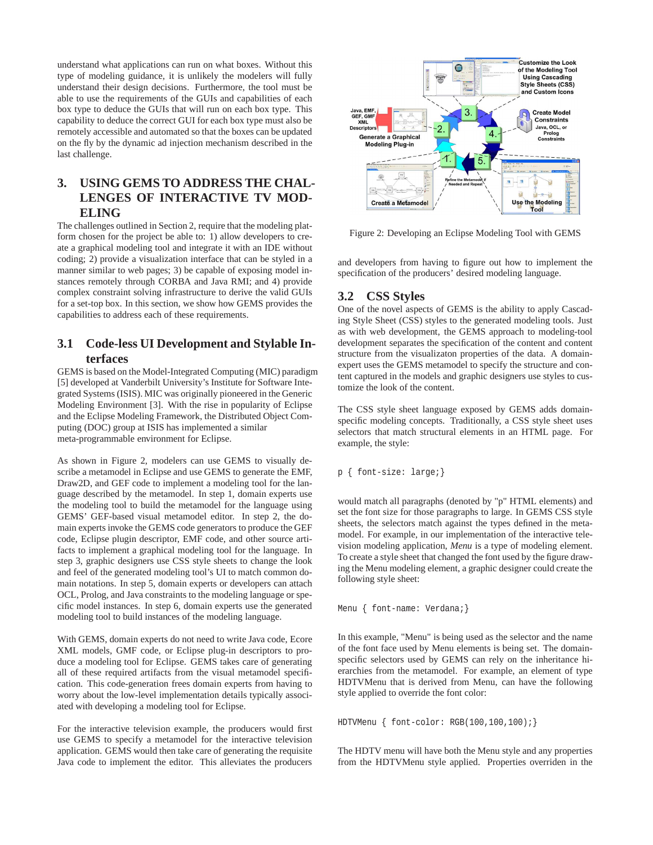understand what applications can run on what boxes. Without this type of modeling guidance, it is unlikely the modelers will fully understand their design decisions. Furthermore, the tool must be able to use the requirements of the GUIs and capabilities of each box type to deduce the GUIs that will run on each box type. This capability to deduce the correct GUI for each box type must also be remotely accessible and automated so that the boxes can be updated on the fly by the dynamic ad injection mechanism described in the last challenge.

# **3. USING GEMS TO ADDRESS THE CHAL-LENGES OF INTERACTIVE TV MOD-ELING**

The challenges outlined in Section 2, require that the modeling platform chosen for the project be able to: 1) allow developers to create a graphical modeling tool and integrate it with an IDE without coding; 2) provide a visualization interface that can be styled in a manner similar to web pages; 3) be capable of exposing model instances remotely through CORBA and Java RMI; and 4) provide complex constraint solving infrastructure to derive the valid GUIs for a set-top box. In this section, we show how GEMS provides the capabilities to address each of these requirements.

### **3.1 Code-less UI Development and Stylable Interfaces**

GEMS is based on the Model-Integrated Computing (MIC) paradigm [5] developed at Vanderbilt University's Institute for Software Integrated Systems (ISIS). MIC was originally pioneered in the Generic Modeling Environment [3]. With the rise in popularity of Eclipse and the Eclipse Modeling Framework, the Distributed Object Computing (DOC) group at ISIS has implemented a similar meta-programmable environment for Eclipse.

As shown in Figure 2, modelers can use GEMS to visually describe a metamodel in Eclipse and use GEMS to generate the EMF, Draw2D, and GEF code to implement a modeling tool for the language described by the metamodel. In step 1, domain experts use the modeling tool to build the metamodel for the language using GEMS' GEF-based visual metamodel editor. In step 2, the domain experts invoke the GEMS code generators to produce the GEF code, Eclipse plugin descriptor, EMF code, and other source artifacts to implement a graphical modeling tool for the language. In step 3, graphic designers use CSS style sheets to change the look and feel of the generated modeling tool's UI to match common domain notations. In step 5, domain experts or developers can attach OCL, Prolog, and Java constraints to the modeling language or specific model instances. In step 6, domain experts use the generated modeling tool to build instances of the modeling language.

With GEMS, domain experts do not need to write Java code, Ecore XML models, GMF code, or Eclipse plug-in descriptors to produce a modeling tool for Eclipse. GEMS takes care of generating all of these required artifacts from the visual metamodel specification. This code-generation frees domain experts from having to worry about the low-level implementation details typically associated with developing a modeling tool for Eclipse.

For the interactive television example, the producers would first use GEMS to specify a metamodel for the interactive television application. GEMS would then take care of generating the requisite Java code to implement the editor. This alleviates the producers



Figure 2: Developing an Eclipse Modeling Tool with GEMS

and developers from having to figure out how to implement the specification of the producers' desired modeling language.

### **3.2 CSS Styles**

One of the novel aspects of GEMS is the ability to apply Cascading Style Sheet (CSS) styles to the generated modeling tools. Just as with web development, the GEMS approach to modeling-tool development separates the specification of the content and content structure from the visualizaton properties of the data. A domainexpert uses the GEMS metamodel to specify the structure and content captured in the models and graphic designers use styles to customize the look of the content.

The CSS style sheet language exposed by GEMS adds domainspecific modeling concepts. Traditionally, a CSS style sheet uses *s*electors that match structural elements in an HTML page. For example, the style:

p { font-size: large;}

would match all paragraphs (denoted by "p" HTML elements) and set the font size for those paragraphs to large. In GEMS CSS style sheets, the selectors match against the types defined in the metamodel. For example, in our implementation of the interactive television modeling application, *Menu* is a type of modeling element. To create a style sheet that changed the font used by the figure drawing the Menu modeling element, a graphic designer could create the following style sheet:

Menu { font-name: Verdana; }

In this example, "Menu" is being used as the selector and the name of the font face used by Menu elements is being set. The domainspecific selectors used by GEMS can rely on the inheritance hierarchies from the metamodel. For example, an element of type HDTVMenu that is derived from Menu, can have the following style applied to override the font color:

HDTVMenu { font-color: RGB(100,100,100);}

The HDTV menu will have both the Menu style and any properties from the HDTVMenu style applied. Properties overriden in the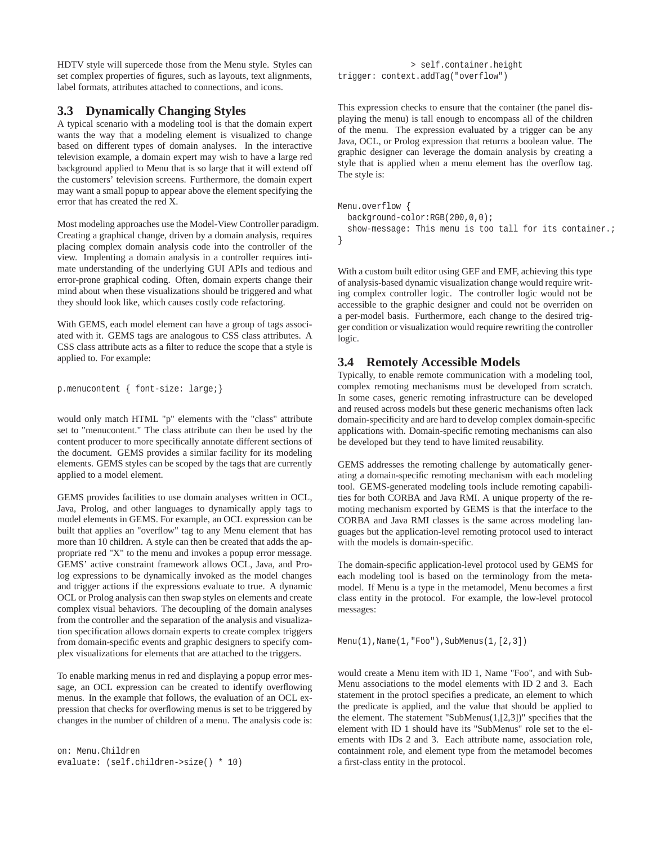HDTV style will supercede those from the Menu style. Styles can set complex properties of figures, such as layouts, text alignments, label formats, attributes attached to connections, and icons.

### **3.3 Dynamically Changing Styles**

A typical scenario with a modeling tool is that the domain expert wants the way that a modeling element is visualized to change based on different types of domain analyses. In the interactive television example, a domain expert may wish to have a large red background applied to Menu that is so large that it will extend off the customers' television screens. Furthermore, the domain expert may want a small popup to appear above the element specifying the error that has created the red X.

Most modeling approaches use the Model-View Controller paradigm. Creating a graphical change, driven by a domain analysis, requires placing complex domain analysis code into the controller of the view. Implenting a domain analysis in a controller requires intimate understanding of the underlying GUI APIs and tedious and error-prone graphical coding. Often, domain experts change their mind about when these visualizations should be triggered and what they should look like, which causes costly code refactoring.

With GEMS, each model element can have a group of tags associated with it. GEMS tags are analogous to CSS class attributes. A CSS class attribute acts as a filter to reduce the scope that a style is applied to. For example:

```
p.menucontent { font-size: large;}
```
would only match HTML "p" elements with the "class" attribute set to "menucontent." The class attribute can then be used by the content producer to more specifically annotate different sections of the document. GEMS provides a similar facility for its modeling elements. GEMS styles can be scoped by the tags that are currently applied to a model element.

GEMS provides facilities to use domain analyses written in OCL, Java, Prolog, and other languages to dynamically apply tags to model elements in GEMS. For example, an OCL expression can be built that applies an "overflow" tag to any Menu element that has more than 10 children. A style can then be created that adds the appropriate red "X" to the menu and invokes a popup error message. GEMS' active constraint framework allows OCL, Java, and Prolog expressions to be dynamically invoked as the model changes and trigger actions if the expressions evaluate to true. A dynamic OCL or Prolog analysis can then swap styles on elements and create complex visual behaviors. The decoupling of the domain analyses from the controller and the separation of the analysis and visualization specification allows domain experts to create complex triggers from domain-specific events and graphic designers to specify complex visualizations for elements that are attached to the triggers.

To enable marking menus in red and displaying a popup error message, an OCL expression can be created to identify overflowing menus. In the example that follows, the evaluation of an OCL expression that checks for overflowing menus is set to be triggered by changes in the number of children of a menu. The analysis code is:

```
on: Menu.Children
evaluate: (self.children->size() * 10)
```

```
> self.container.height
trigger: context.addTag("overflow")
```
This expression checks to ensure that the container (the panel displaying the menu) is tall enough to encompass all of the children of the menu. The expression evaluated by a trigger can be any Java, OCL, or Prolog expression that returns a boolean value. The graphic designer can leverage the domain analysis by creating a style that is applied when a menu element has the overflow tag. The style is:

```
Menu.overflow {
 background-color:RGB(200,0,0);
  show-message: This menu is too tall for its container.;
}
```
With a custom built editor using GEF and EMF, achieving this type of analysis-based dynamic visualization change would require writing complex controller logic. The controller logic would not be accessible to the graphic designer and could not be overriden on a per-model basis. Furthermore, each change to the desired trigger condition or visualization would require rewriting the controller logic.

## **3.4 Remotely Accessible Models**

Typically, to enable remote communication with a modeling tool, complex remoting mechanisms must be developed from scratch. In some cases, generic remoting infrastructure can be developed and reused across models but these generic mechanisms often lack domain-specificity and are hard to develop complex domain-specific applications with. Domain-specific remoting mechanisms can also be developed but they tend to have limited reusability.

GEMS addresses the remoting challenge by automatically generating a domain-specific remoting mechanism with each modeling tool. GEMS-generated modeling tools include remoting capabilities for both CORBA and Java RMI. A unique property of the remoting mechanism exported by GEMS is that the interface to the CORBA and Java RMI classes is the same across modeling languages but the application-level remoting protocol used to interact with the models is domain-specific.

The domain-specific application-level protocol used by GEMS for each modeling tool is based on the terminology from the metamodel. If Menu is a type in the metamodel, Menu becomes a first class entity in the protocol. For example, the low-level protocol messages:

Menu(1),Name(1,"Foo"),SubMenus(1,[2,3])

would create a Menu item with ID 1, Name "Foo", and with Sub-Menu associations to the model elements with ID 2 and 3. Each statement in the protocl specifies a predicate, an element to which the predicate is applied, and the value that should be applied to the element. The statement "SubMenus $(1, [2,3])$ " specifies that the element with ID 1 should have its "SubMenus" role set to the elements with IDs 2 and 3. Each attribute name, association role, containment role, and element type from the metamodel becomes a first-class entity in the protocol.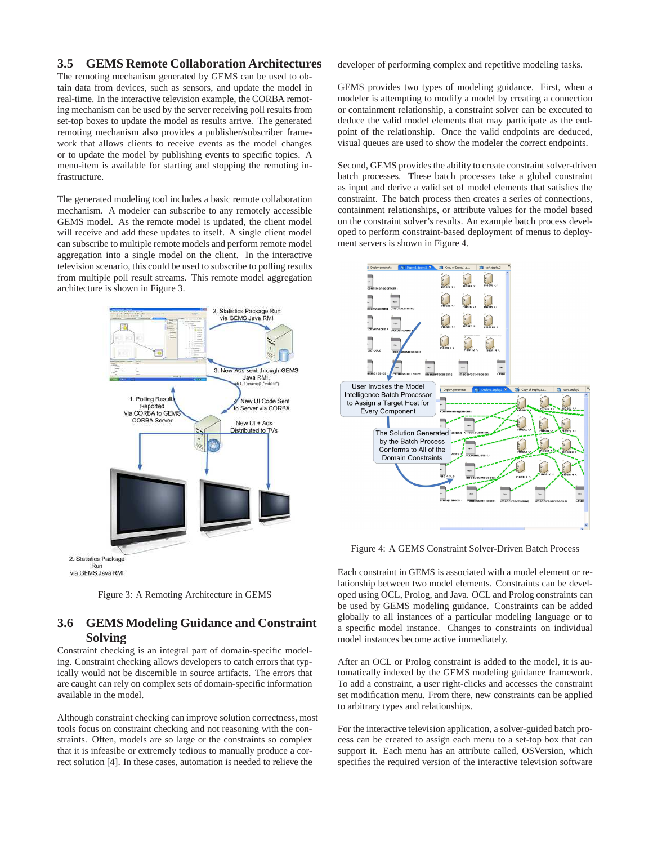#### **3.5 GEMS Remote Collaboration Architectures**

The remoting mechanism generated by GEMS can be used to obtain data from devices, such as sensors, and update the model in real-time. In the interactive television example, the CORBA remoting mechanism can be used by the server receiving poll results from set-top boxes to update the model as results arrive. The generated remoting mechanism also provides a publisher/subscriber framework that allows clients to receive events as the model changes or to update the model by publishing events to specific topics. A menu-item is available for starting and stopping the remoting infrastructure.

The generated modeling tool includes a basic remote collaboration mechanism. A modeler can subscribe to any remotely accessible GEMS model. As the remote model is updated, the client model will receive and add these updates to itself. A single client model can subscribe to multiple remote models and perform remote model aggregation into a single model on the client. In the interactive television scenario, this could be used to subscribe to polling results from multiple poll result streams. This remote model aggregation architecture is shown in Figure 3.





#### **3.6 GEMS Modeling Guidance and Constraint Solving**

Constraint checking is an integral part of domain-specific modeling. Constraint checking allows developers to catch errors that typically would not be discernible in source artifacts. The errors that are caught can rely on complex sets of domain-specific information available in the model.

Although constraint checking can improve solution correctness, most tools focus on constraint checking and not reasoning with the constraints. Often, models are so large or the constraints so complex that it is infeasibe or extremely tedious to manually produce a correct solution [4]. In these cases, automation is needed to relieve the

developer of performing complex and repetitive modeling tasks.

GEMS provides two types of modeling guidance. First, when a modeler is attempting to modify a model by creating a connection or containment relationship, a constraint solver can be executed to deduce the valid model elements that may participate as the endpoint of the relationship. Once the valid endpoints are deduced, visual queues are used to show the modeler the correct endpoints.

Second, GEMS provides the ability to create constraint solver-driven batch processes. These batch processes take a global constraint as input and derive a valid set of model elements that satisfies the constraint. The batch process then creates a series of connections, containment relationships, or attribute values for the model based on the constraint solver's results. An example batch process developed to perform constraint-based deployment of menus to deployment servers is shown in Figure 4.



Figure 4: A GEMS Constraint Solver-Driven Batch Process

Each constraint in GEMS is associated with a model element or relationship between two model elements. Constraints can be developed using OCL, Prolog, and Java. OCL and Prolog constraints can be used by GEMS modeling guidance. Constraints can be added globally to all instances of a particular modeling language or to a specific model instance. Changes to constraints on individual model instances become active immediately.

After an OCL or Prolog constraint is added to the model, it is automatically indexed by the GEMS modeling guidance framework. To add a constraint, a user right-clicks and accesses the constraint set modification menu. From there, new constraints can be applied to arbitrary types and relationships.

For the interactive television application, a solver-guided batch process can be created to assign each menu to a set-top box that can support it. Each menu has an attribute called, OSVersion, which specifies the required version of the interactive television software